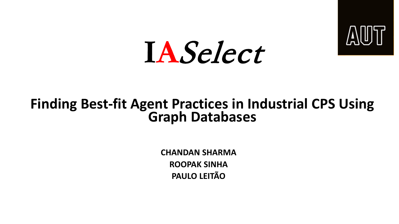

# **IA**Select

## **Finding Best-fit Agent Practices in Industrial CPS Using Graph Databases**

**CHANDAN SHARMA ROOPAK SINHA PAULO LEITÃO**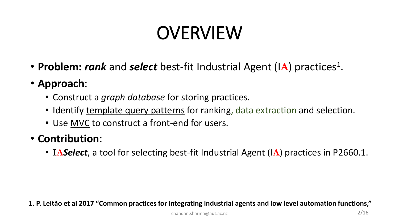### OVERVIEW

- **Problem:** *rank* and *select* best-fit Industrial Agent (IA) practices<sup>1</sup>.
- **Approach**:
	- Construct a *graph database* for storing practices.
	- Identify template query patterns for ranking, data extraction and selection.
	- Use MVC to construct a front-end for users.

#### • **Contribution**:

• **IA***Select*, a tool for selecting best-fit Industrial Agent (I**A**) practices in P2660.1.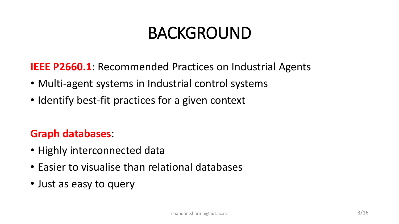### BACKGROUND

**IEEE P2660.1:** Recommended Practices on Industrial Agents

- Multi-agent systems in Industrial control systems
- Identify best-fit practices for a given context

#### **Graph databases**:

- Highly interconnected data
- Easier to visualise than relational databases
- Just as easy to query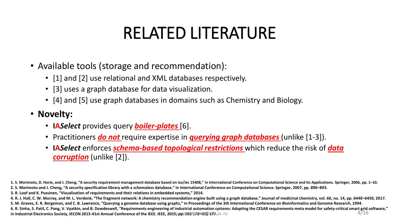### RELATED LITERATURE

- Available tools (storage and recommendation):
	- [1] and [2] use relational and XML databases respectively.
	- [3] uses a graph database for data visualization.
	- [4] and [5] use graph databases in domains such as Chemistry and Biology.
- **Novelty:**
	- **IA***Select* provides query *boiler-plates* [6].
	- Practitioners *do not* require expertise in *querying graph databases* (unlike [1-3]).
	- **IA***Select* enforces *schema-based topological restrictions* which reduce the risk of *data corruption* (unlike [2]).

**3. R. Loof and K. Pussinen, "Visualisation of requirements and their relations in embedded systems," 2014.**

**<sup>1.</sup> S. Morimoto, D. Horie, and J. Cheng, "A security requirement management database based on iso/iec 15408," in International Conference on Computational Science and Its Applications. Springer, 2006, pp. 1–10. 2. S. Morimoto and J. Cheng, "A security specification library with a schemaless database," in International Conference on Computational Science. Springer, 2007, pp. 890–893.**

**<sup>4.</sup> R. J. Hall, C. W. Murray, and M. L. Verdonk, "The fragment network: A chemistry recommendation engine built using a graph database," Journal of medicinal chemistry, vol. 60, no. 14, pp. 6440–6450, 2017.**

**<sup>5.</sup> M. Graves, E. R. Bergeman, and C. B. Lawrence, "Querying a genome database using graphs," in Proceedings of the 3th International Conference on Bioinformatics and Genome Research, 1994.**

<sup>4/16</sup> **6. R. Sinha, S. Patil, C. Pang, V. Vyatkin, and B. Dowdeswell, "Requirements engineering of industrial automation systems: Adapting the CESAR requirements meta model for safety-critical smart grid software," in Industrial Electronics Society, IECON 2015-41st Annual Conference of the IEEE. IEEE, 2005appla002 h772 a002 277.** ac.nz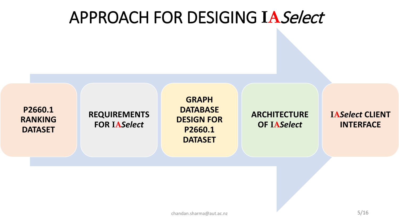### APPROACH FOR DESIGING **IA**Select

**P2660.1 RANKING DATASET**

**REQUIREMENTS FOR IA***Select*

**GRAPH DATABASE DESIGN FOR P2660.1 DATASET**

**ARCHITECTURE OF IA***Select*

**IA***Select* **CLIENT INTERFACE**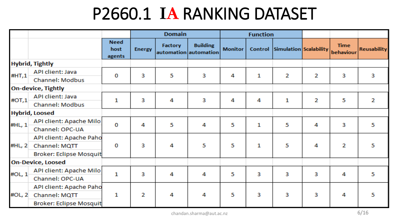### P2660.1 **IA** RANKING DATASET

|        |                                |                               |               | <b>Domain</b> |                                          |                | <b>Function</b> |                                |   |                          |                    |
|--------|--------------------------------|-------------------------------|---------------|---------------|------------------------------------------|----------------|-----------------|--------------------------------|---|--------------------------|--------------------|
|        |                                | <b>Need</b><br>host<br>agents | <b>Energy</b> | Factory       | <b>Building</b><br>automation automation | <b>Monitor</b> |                 | Control Simulation Scalability |   | <b>Time</b><br>behaviour | <b>Reusability</b> |
|        | <b>Hybrid, Tightly</b>         |                               |               |               |                                          |                |                 |                                |   |                          |                    |
| #HT,1  | API client: Java               | 0                             | 3             | 5             | 3                                        | 4              | 1               | 2                              | 2 | 3                        | з                  |
|        | Channel: Modbus                |                               |               |               |                                          |                |                 |                                |   |                          |                    |
|        | <b>On-device, Tightly</b>      |                               |               |               |                                          |                |                 |                                |   |                          |                    |
| #OT, 1 | <b>API client: Java</b>        | 1                             | 3             | 4             | 3                                        | 4              | 4               | 1                              | 2 | 5                        | 2                  |
|        | Channel: Modbus                |                               |               |               |                                          |                |                 |                                |   |                          |                    |
|        | <b>Hybrid, Loosed</b>          |                               |               |               |                                          |                |                 |                                |   |                          |                    |
| #HL, 1 | API client: Apache Milo        | 0                             | 4             | 5             | 4                                        | 5              | 1               | 5                              | 4 | з                        | 5                  |
|        | Channel: OPC-UA                |                               |               |               |                                          |                |                 |                                |   |                          |                    |
|        | API client: Apache Paho        |                               |               |               |                                          |                |                 |                                |   |                          |                    |
| #HL, 2 | Channel: MQTT                  | 0                             | 3             | 4             | 5                                        | 5              | 1               | 5                              | 4 | 2                        | 5                  |
|        | <b>Broker: Eclipse Mosquit</b> |                               |               |               |                                          |                |                 |                                |   |                          |                    |
|        | <b>On-Device, Loosed</b>       |                               |               |               |                                          |                |                 |                                |   |                          |                    |
| #OL, 1 | API client: Apache Milo        | 1                             | з             | 4             | 4                                        | 5              | 3               | 3                              | 3 | 4                        | 5                  |
|        | Channel: OPC-UA                |                               |               |               |                                          |                |                 |                                |   |                          |                    |
|        | API client: Apache Paho        |                               |               |               |                                          |                |                 |                                |   |                          |                    |
| #OL, 2 | Channel: MQTT                  | 1                             | 2             | 4             | 4                                        | 5              | з               | 3                              | 3 | 4                        | 5                  |
|        | <b>Broker: Eclipse Mosquit</b> |                               |               |               |                                          |                |                 |                                |   |                          |                    |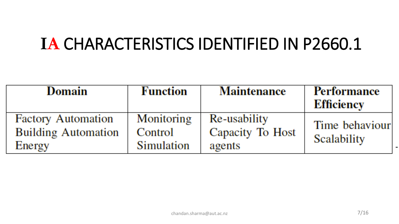### **IA** CHARACTERISTICS IDENTIFIED IN P2660.1

| Domain                                                  | <b>Function</b>       | <b>Maintenance</b>                      | <b>Performance</b><br>Efficiency |
|---------------------------------------------------------|-----------------------|-----------------------------------------|----------------------------------|
| <b>Factory Automation</b><br><b>Building Automation</b> | Monitoring<br>Control | Re-usability<br><b>Capacity To Host</b> | Time behaviour                   |
| Energy                                                  | <b>Simulation</b>     | agents                                  | Scalability                      |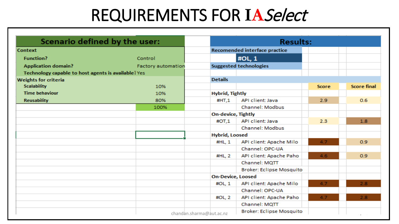### REQUIREMENTS FOR **IA**Select

| Scenario defined by the user:                       | <b>Results:</b>           |                                      |                               |              |                    |  |  |
|-----------------------------------------------------|---------------------------|--------------------------------------|-------------------------------|--------------|--------------------|--|--|
| <b>Context</b>                                      |                           | <b>Recomended interface practice</b> |                               |              |                    |  |  |
| <b>Function?</b>                                    | Control                   |                                      | #OL, 1                        |              |                    |  |  |
| <b>Application domain?</b>                          | <b>Factory automation</b> |                                      | <b>Suggested technologies</b> |              |                    |  |  |
| Technology capable to host agents is available? Yes |                           |                                      |                               |              |                    |  |  |
| <b>Weights for criteria</b>                         |                           | <b>Details</b>                       |                               |              |                    |  |  |
| <b>Scalability</b>                                  | 10%                       |                                      |                               | <b>Score</b> | <b>Score final</b> |  |  |
| <b>Time behaviour</b>                               | 10%                       | <b>Hybrid, Tightly</b>               |                               |              |                    |  |  |
| <b>Reusability</b>                                  | 80%                       | #HT.1                                | API client: Java              | 2.9          | 0.6                |  |  |
|                                                     | 100%                      |                                      | Channel: Modbus               |              |                    |  |  |
|                                                     |                           | <b>On-device, Tightly</b>            |                               |              |                    |  |  |
|                                                     |                           | #OT.1                                | API client: Java              | 2.3          | 1.8                |  |  |
|                                                     |                           |                                      | Channel: Modbus               |              |                    |  |  |
|                                                     |                           | <b>Hybrid, Loosed</b>                |                               |              |                    |  |  |
|                                                     |                           | #HL, 1                               | API client: Apache Milo       | 4.7          | 0.9                |  |  |
|                                                     |                           |                                      | Channel: OPC-UA               |              |                    |  |  |
|                                                     |                           | #HL, 2                               | API client: Apache Paho       | 4.6          | 0.9                |  |  |
|                                                     |                           |                                      | Channel: MQTT                 |              |                    |  |  |
|                                                     |                           |                                      | Broker: Eclipse Mosquito      |              |                    |  |  |
|                                                     |                           | <b>On-Device, Loosed</b>             |                               |              |                    |  |  |
|                                                     |                           | #OL, 1                               | API client: Apache Milo       | 4.7          | 2.8                |  |  |
|                                                     |                           |                                      | Channel: OPC-UA               |              |                    |  |  |
|                                                     |                           | #OL, 2                               | API client: Apache Paho       | 4.7          | 2.8                |  |  |
|                                                     |                           |                                      | Channel: MQTT                 |              |                    |  |  |
|                                                     |                           | chandan.sharma@aut.ac.nz             | Broker: Eclipse Mosquito      |              | $-1 - 1$           |  |  |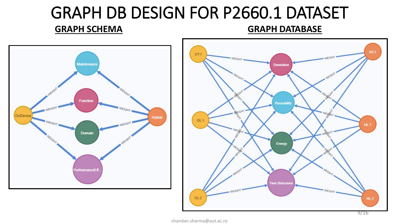### GRAPH DB DESIGN FOR P2660.1 DATASET

#### **GRAPH SCHEMA GRAPH DATABASE**



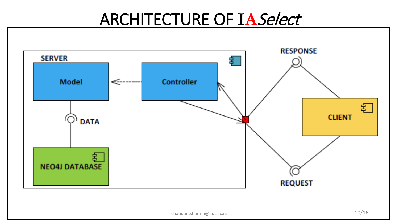### ARCHITECTURE OF **IA**Select

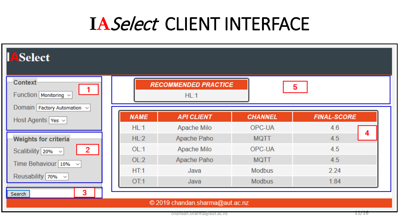### **IA**Select CLIENT INTERFACE

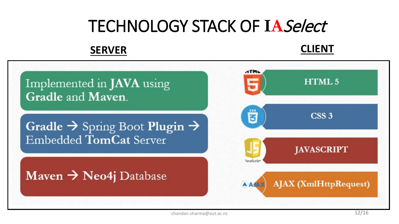### TECHNOLOGY STACK OF **IA**Select

### **SERVER CLIENT**

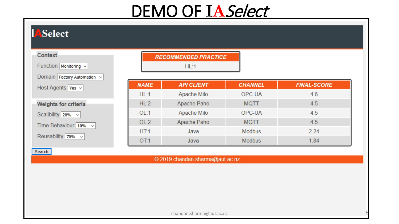### DEMO OF **IA**Select

|                                                  |             | <b>RECOMMENDED PRACTICE</b><br>HL:1 |                |                    |
|--------------------------------------------------|-------------|-------------------------------------|----------------|--------------------|
| Domain Factory Automation v<br>Host Agents Yes v | <b>NAME</b> | <b>API CLIENT</b>                   | <b>CHANNEL</b> | <b>FINAL-SCORE</b> |
|                                                  | HL:1        | Apache Milo                         | OPC-UA         | 4.6                |
| Weights for criteria                             | HL:2        | Apache Paho                         | <b>MQTT</b>    | 4.5                |
| Scalibility $20\% \sim$                          | OL:1        | Apache Milo                         | OPC-UA         | 4.5                |
| Time Behaviour $10\% \sim$                       | OL:2        | Apache Paho                         | <b>MQTT</b>    | 4.5                |
|                                                  | HT.1        | Java                                | <b>Modbus</b>  | 2.24               |
| Reusability 70% v                                | OT:1        | Java                                | <b>Modbus</b>  | 1.84               |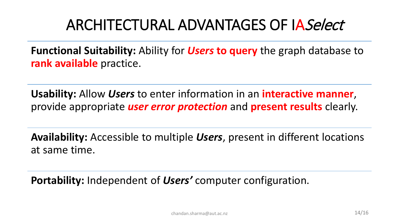### ARCHITECTURAL ADVANTAGES OF IASelect

**Functional Suitability:** Ability for *Users* **to query** the graph database to **rank available** practice.

**Usability:** Allow *Users* to enter information in an **interactive manner**, provide appropriate *user error protection* and **present results** clearly.

**Availability:** Accessible to multiple *Users*, present in different locations at same time.

**Portability:** Independent of *Users'* computer configuration.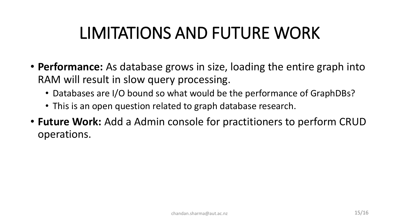### LIMITATIONS AND FUTURE WORK

- **Performance:** As database grows in size, loading the entire graph into RAM will result in slow query processing.
	- Databases are I/O bound so what would be the performance of GraphDBs?
	- This is an open question related to graph database research.
- **Future Work:** Add a Admin console for practitioners to perform CRUD operations.